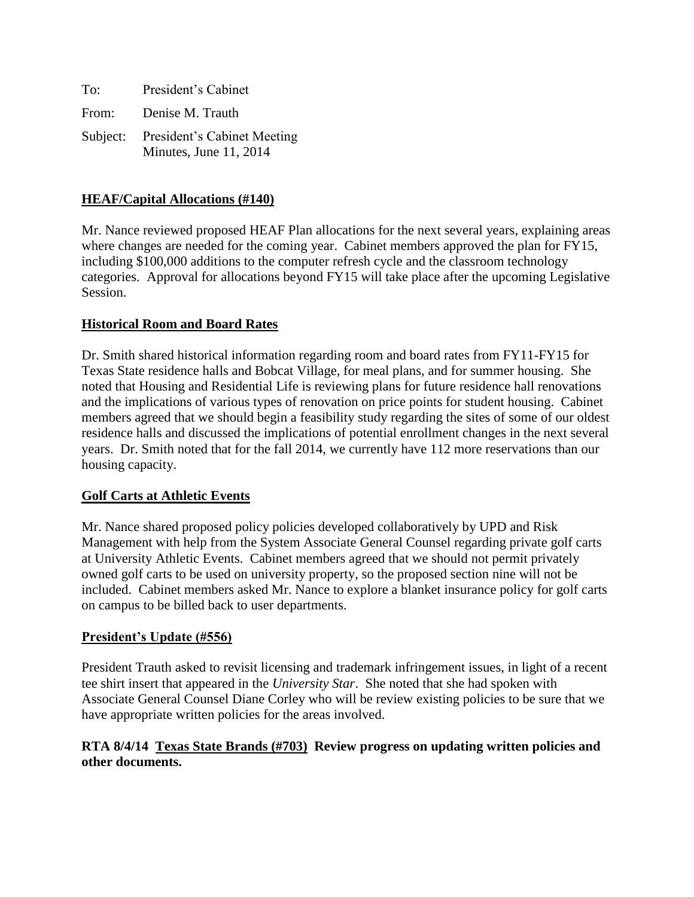| To:   | President's Cabinet                                            |
|-------|----------------------------------------------------------------|
| From: | Denise M. Trauth                                               |
|       | Subject: President's Cabinet Meeting<br>Minutes, June 11, 2014 |

## **HEAF/Capital Allocations (#140)**

Mr. Nance reviewed proposed HEAF Plan allocations for the next several years, explaining areas where changes are needed for the coming year. Cabinet members approved the plan for FY15, including \$100,000 additions to the computer refresh cycle and the classroom technology categories. Approval for allocations beyond FY15 will take place after the upcoming Legislative Session.

### **Historical Room and Board Rates**

Dr. Smith shared historical information regarding room and board rates from FY11-FY15 for Texas State residence halls and Bobcat Village, for meal plans, and for summer housing. She noted that Housing and Residential Life is reviewing plans for future residence hall renovations and the implications of various types of renovation on price points for student housing. Cabinet members agreed that we should begin a feasibility study regarding the sites of some of our oldest residence halls and discussed the implications of potential enrollment changes in the next several years. Dr. Smith noted that for the fall 2014, we currently have 112 more reservations than our housing capacity.

### **Golf Carts at Athletic Events**

Mr. Nance shared proposed policy policies developed collaboratively by UPD and Risk Management with help from the System Associate General Counsel regarding private golf carts at University Athletic Events. Cabinet members agreed that we should not permit privately owned golf carts to be used on university property, so the proposed section nine will not be included. Cabinet members asked Mr. Nance to explore a blanket insurance policy for golf carts on campus to be billed back to user departments.

# **President's Update (#556)**

President Trauth asked to revisit licensing and trademark infringement issues, in light of a recent tee shirt insert that appeared in the *University Star*. She noted that she had spoken with Associate General Counsel Diane Corley who will be review existing policies to be sure that we have appropriate written policies for the areas involved.

### **RTA 8/4/14 Texas State Brands (#703) Review progress on updating written policies and other documents.**